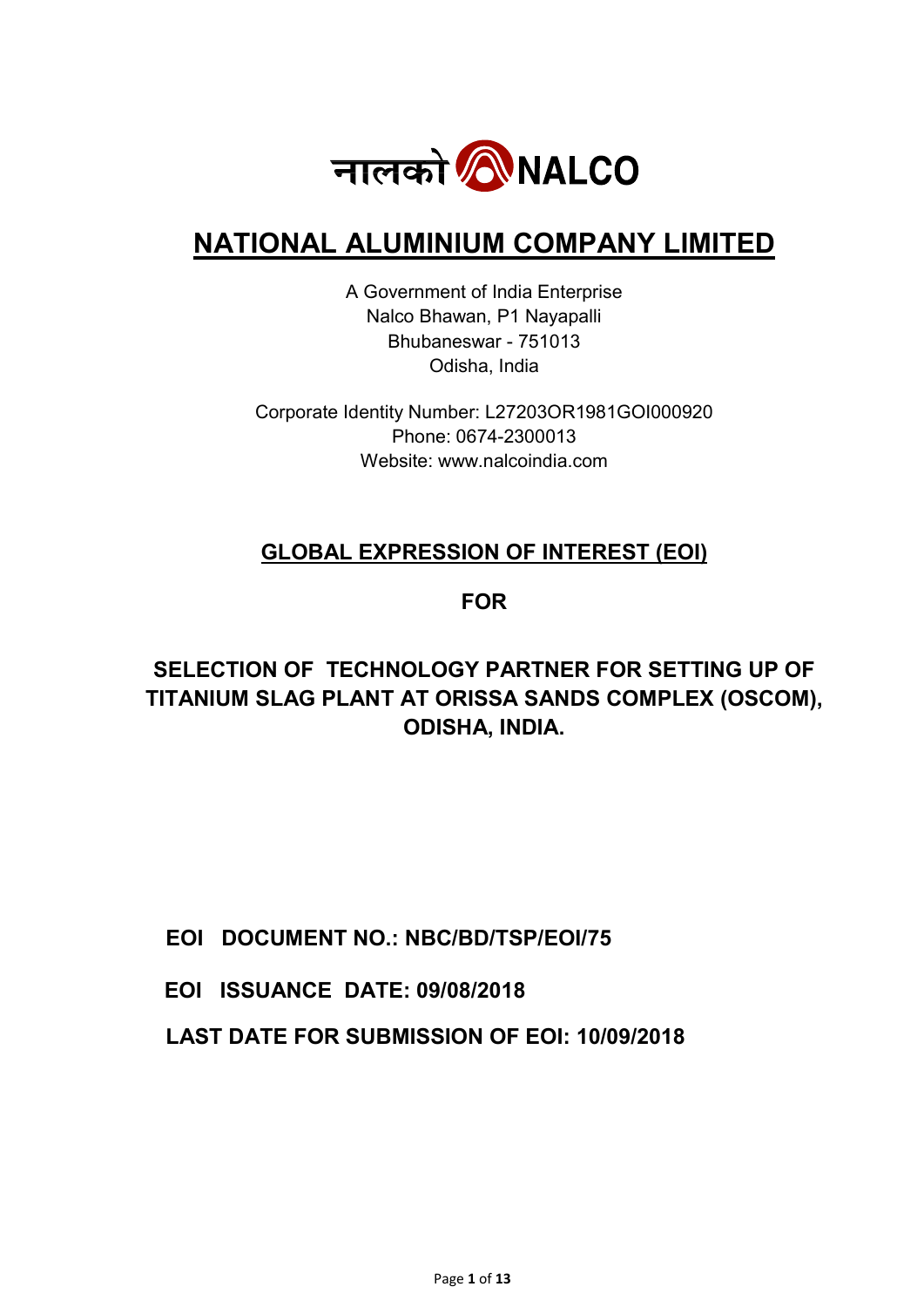

# NATIONAL ALUMINIUM COMPANY LIMITED

A Government of India Enterprise Nalco Bhawan, P1 Nayapalli Bhubaneswar - 751013 Odisha, India

Corporate Identity Number: L27203OR1981GOI000920 Phone: 0674-2300013 Website: www.nalcoindia.com

## GLOBAL EXPRESSION OF INTEREST (EOI)

## FOR

## SELECTION OF TECHNOLOGY PARTNER FOR SETTING UP OF TITANIUM SLAG PLANT AT ORISSA SANDS COMPLEX (OSCOM), ODISHA, INDIA.

EOI DOCUMENT NO.: NBC/BD/TSP/EOI/75

EOI ISSUANCE DATE: 09/08/2018

LAST DATE FOR SUBMISSION OF EOI: 10/09/2018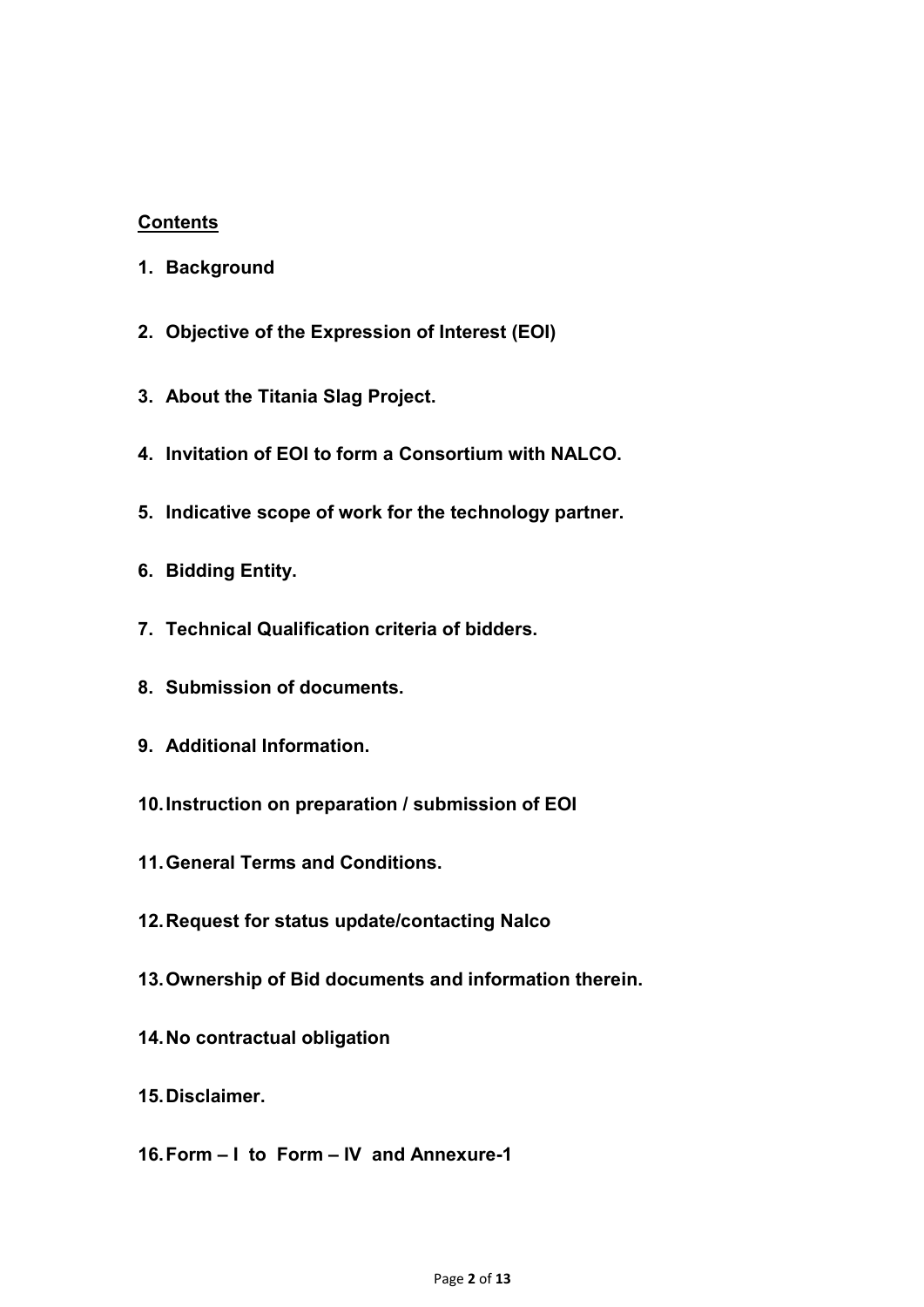## **Contents**

- 1. Background
- 2. Objective of the Expression of Interest (EOI)
- 3. About the Titania Slag Project.
- 4. Invitation of EOI to form a Consortium with NALCO.
- 5. Indicative scope of work for the technology partner.
- 6. Bidding Entity.
- 7. Technical Qualification criteria of bidders.
- 8. Submission of documents.
- 9. Additional Information.
- 10. Instruction on preparation / submission of EOI
- 11. General Terms and Conditions.
- 12. Request for status update/contacting Nalco
- 13. Ownership of Bid documents and information therein.
- 14. No contractual obligation
- 15. Disclaimer.
- 16. Form I to Form IV and Annexure-1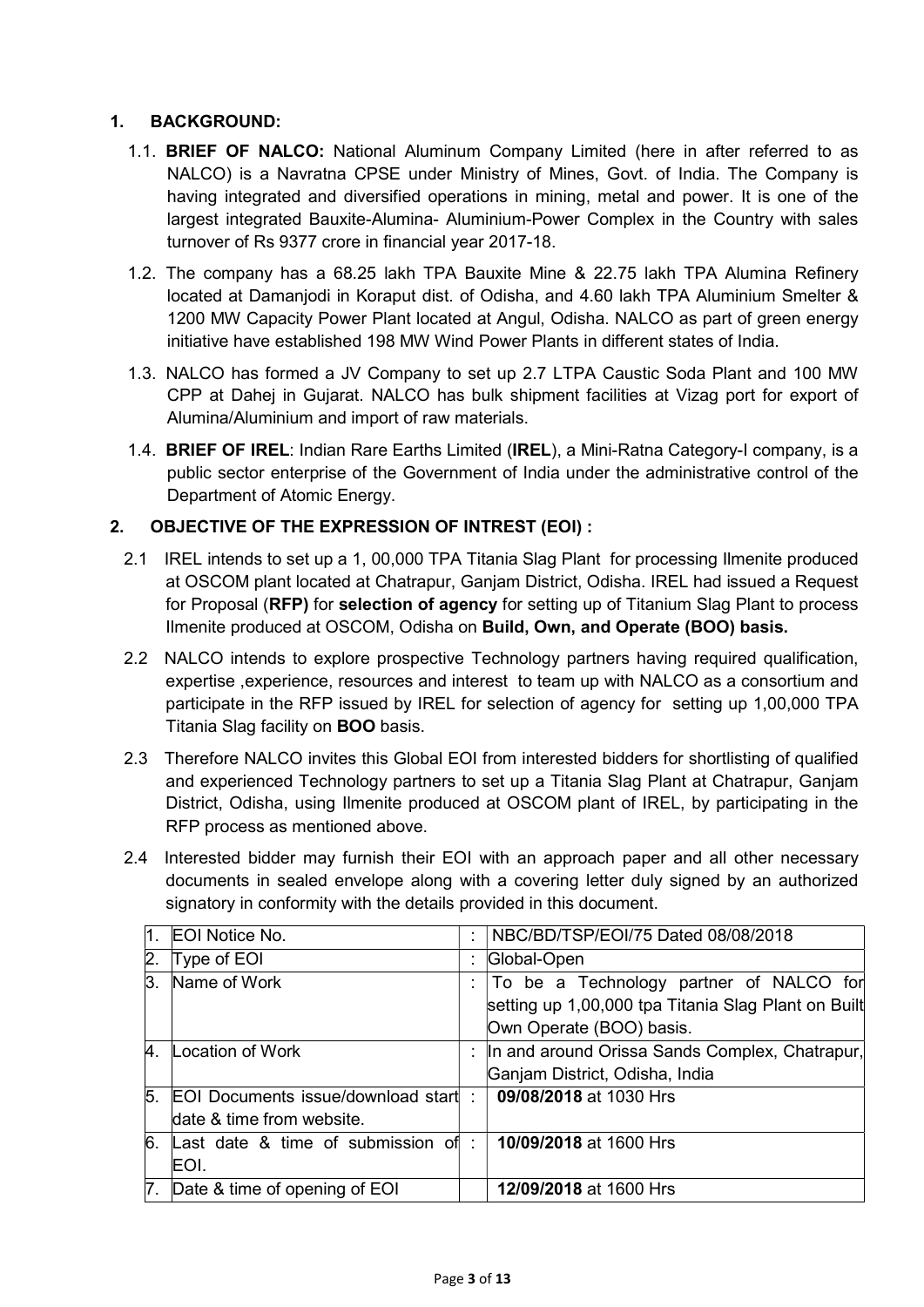### 1. BACKGROUND:

- 1.1. BRIEF OF NALCO: National Aluminum Company Limited (here in after referred to as NALCO) is a Navratna CPSE under Ministry of Mines, Govt. of India. The Company is having integrated and diversified operations in mining, metal and power. It is one of the largest integrated Bauxite-Alumina- Aluminium-Power Complex in the Country with sales turnover of Rs 9377 crore in financial year 2017-18.
- 1.2. The company has a 68.25 lakh TPA Bauxite Mine & 22.75 lakh TPA Alumina Refinery located at Damanjodi in Koraput dist. of Odisha, and 4.60 lakh TPA Aluminium Smelter & 1200 MW Capacity Power Plant located at Angul, Odisha. NALCO as part of green energy initiative have established 198 MW Wind Power Plants in different states of India.
- 1.3. NALCO has formed a JV Company to set up 2.7 LTPA Caustic Soda Plant and 100 MW CPP at Dahej in Gujarat. NALCO has bulk shipment facilities at Vizag port for export of Alumina/Aluminium and import of raw materials.
- 1.4. BRIEF OF IREL: Indian Rare Earths Limited (IREL), a Mini-Ratna Category-I company, is a public sector enterprise of the Government of India under the administrative control of the Department of Atomic Energy.

#### 2. OBJECTIVE OF THE EXPRESSION OF INTREST (EOI) :

- 2.1 IREL intends to set up a 1, 00,000 TPA Titania Slag Plant for processing Ilmenite produced at OSCOM plant located at Chatrapur, Ganjam District, Odisha. IREL had issued a Request for Proposal (RFP) for selection of agency for setting up of Titanium Slag Plant to process Ilmenite produced at OSCOM, Odisha on Build, Own, and Operate (BOO) basis.
- 2.2 NALCO intends to explore prospective Technology partners having required qualification, expertise ,experience, resources and interest to team up with NALCO as a consortium and participate in the RFP issued by IREL for selection of agency for setting up 1,00,000 TPA Titania Slag facility on BOO basis.
- 2.3 Therefore NALCO invites this Global EOI from interested bidders for shortlisting of qualified and experienced Technology partners to set up a Titania Slag Plant at Chatrapur, Ganjam District, Odisha, using Ilmenite produced at OSCOM plant of IREL, by participating in the RFP process as mentioned above.
- 2.4 Interested bidder may furnish their EOI with an approach paper and all other necessary documents in sealed envelope along with a covering letter duly signed by an authorized signatory in conformity with the details provided in this document.

| 1. | EOI Notice No.                                                         |    | NBC/BD/TSP/EOI/75 Dated 08/08/2018                                                                                         |
|----|------------------------------------------------------------------------|----|----------------------------------------------------------------------------------------------------------------------------|
| 2. | Type of EOI                                                            |    | Global-Open                                                                                                                |
| 3. | Name of Work                                                           | ÷. | To be a Technology partner of NALCO for<br>setting up 1,00,000 tpa Titania Slag Plant on Built<br>Own Operate (BOO) basis. |
|    | 4. Location of Work                                                    |    | : In and around Orissa Sands Complex, Chatrapur,<br>Ganjam District, Odisha, India                                         |
| 5. | <b>EOI Documents issue/download start</b><br>date & time from website. | ۰. | 09/08/2018 at 1030 Hrs                                                                                                     |
|    | 6. Last date & time of submission of<br>EOI.                           |    | 10/09/2018 at 1600 Hrs                                                                                                     |
|    | 7. Date & time of opening of EOI                                       |    | 12/09/2018 at 1600 Hrs                                                                                                     |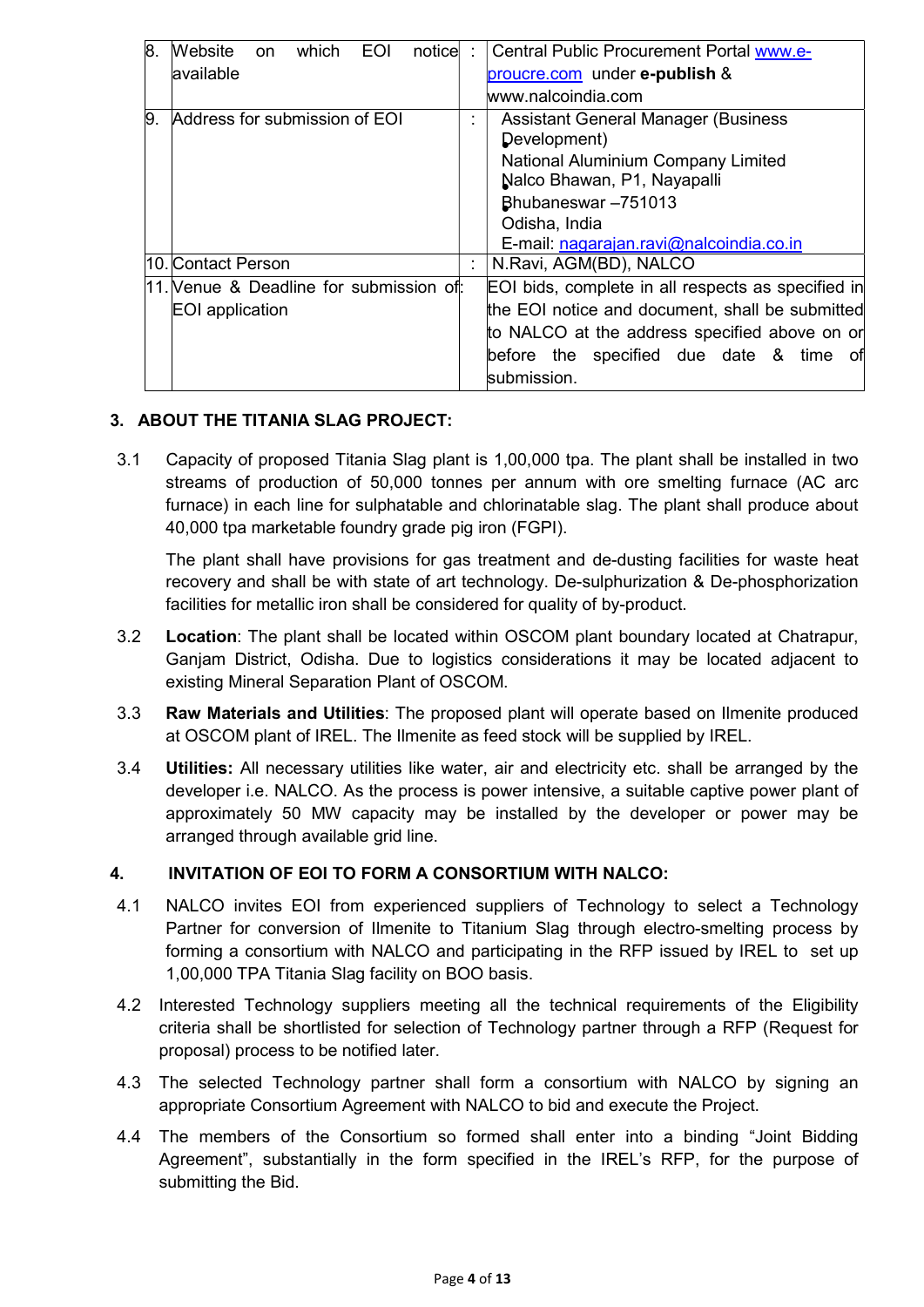| 8. | <b>EOI</b><br>Website<br>which<br>notice<br><b>on</b> | ÷ | Central Public Procurement Portal www.e-                          |
|----|-------------------------------------------------------|---|-------------------------------------------------------------------|
|    | available                                             |   | proucre.com under e-publish &                                     |
|    |                                                       |   | www.nalcoindia.com                                                |
| 9. | Address for submission of EOI                         |   | <b>Assistant General Manager (Business)</b><br>Development)       |
|    |                                                       |   | National Aluminium Company Limited<br>Nalco Bhawan, P1, Nayapalli |
|    |                                                       |   | Bhubaneswar-751013                                                |
|    |                                                       |   | Odisha, India                                                     |
|    |                                                       |   | E-mail: nagarajan.ravi@nalcoindia.co.in                           |
|    | l10.lContact Person                                   |   | N.Ravi, AGM(BD), NALCO                                            |
|    | 11. Venue & Deadline for submission of:               |   | EOI bids, complete in all respects as specified in                |
|    | EOI application                                       |   | the EOI notice and document, shall be submitted                   |
|    |                                                       |   | to NALCO at the address specified above on or                     |
|    |                                                       |   | before the specified due date & time of<br>submission.            |

## 3. ABOUT THE TITANIA SLAG PROJECT:

3.1 Capacity of proposed Titania Slag plant is 1,00,000 tpa. The plant shall be installed in two streams of production of 50,000 tonnes per annum with ore smelting furnace (AC arc furnace) in each line for sulphatable and chlorinatable slag. The plant shall produce about 40,000 tpa marketable foundry grade pig iron (FGPI).

The plant shall have provisions for gas treatment and de-dusting facilities for waste heat recovery and shall be with state of art technology. De-sulphurization & De-phosphorization facilities for metallic iron shall be considered for quality of by-product.

- 3.2 Location: The plant shall be located within OSCOM plant boundary located at Chatrapur, Ganjam District, Odisha. Due to logistics considerations it may be located adjacent to existing Mineral Separation Plant of OSCOM.
- 3.3 Raw Materials and Utilities: The proposed plant will operate based on Ilmenite produced at OSCOM plant of IREL. The Ilmenite as feed stock will be supplied by IREL.
- 3.4 **Utilities:** All necessary utilities like water, air and electricity etc. shall be arranged by the developer i.e. NALCO. As the process is power intensive, a suitable captive power plant of approximately 50 MW capacity may be installed by the developer or power may be arranged through available grid line.

#### 4. INVITATION OF EOI TO FORM A CONSORTIUM WITH NALCO:

- 4.1 NALCO invites EOI from experienced suppliers of Technology to select a Technology Partner for conversion of Ilmenite to Titanium Slag through electro-smelting process by forming a consortium with NALCO and participating in the RFP issued by IREL to set up 1,00,000 TPA Titania Slag facility on BOO basis.
- 4.2 Interested Technology suppliers meeting all the technical requirements of the Eligibility criteria shall be shortlisted for selection of Technology partner through a RFP (Request for proposal) process to be notified later.
- 4.3 The selected Technology partner shall form a consortium with NALCO by signing an appropriate Consortium Agreement with NALCO to bid and execute the Project.
- 4.4 The members of the Consortium so formed shall enter into a binding "Joint Bidding Agreement", substantially in the form specified in the IREL's RFP, for the purpose of submitting the Bid.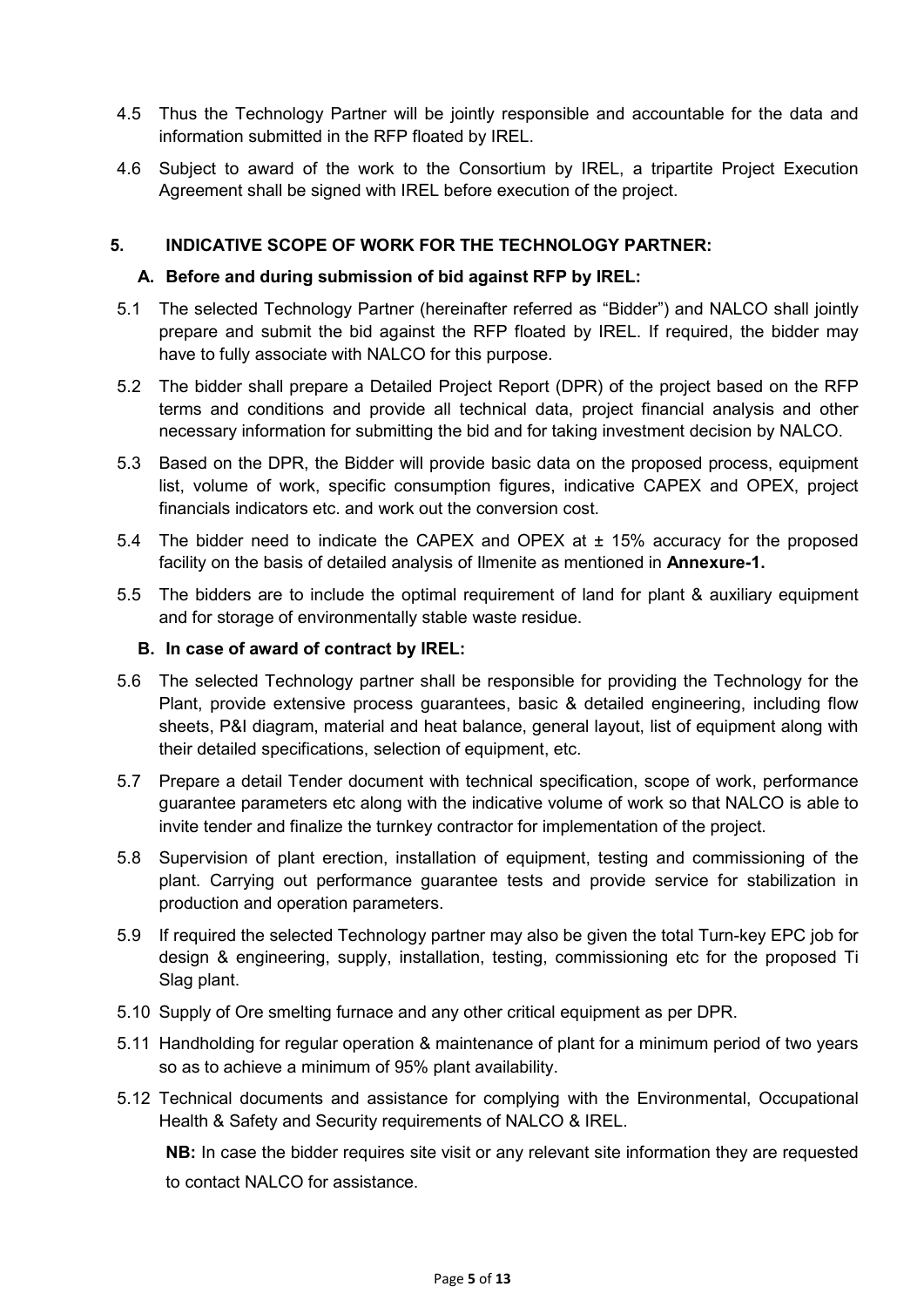- 4.5 Thus the Technology Partner will be jointly responsible and accountable for the data and information submitted in the RFP floated by IREL.
- 4.6 Subject to award of the work to the Consortium by IREL, a tripartite Project Execution Agreement shall be signed with IREL before execution of the project.

#### 5. INDICATIVE SCOPE OF WORK FOR THE TECHNOLOGY PARTNER:

#### A. Before and during submission of bid against RFP by IREL:

- 5.1 The selected Technology Partner (hereinafter referred as "Bidder") and NALCO shall jointly prepare and submit the bid against the RFP floated by IREL. If required, the bidder may have to fully associate with NALCO for this purpose.
- 5.2 The bidder shall prepare a Detailed Project Report (DPR) of the project based on the RFP terms and conditions and provide all technical data, project financial analysis and other necessary information for submitting the bid and for taking investment decision by NALCO.
- 5.3 Based on the DPR, the Bidder will provide basic data on the proposed process, equipment list, volume of work, specific consumption figures, indicative CAPEX and OPEX, project financials indicators etc. and work out the conversion cost.
- 5.4 The bidder need to indicate the CAPEX and OPEX at  $\pm$  15% accuracy for the proposed facility on the basis of detailed analysis of Ilmenite as mentioned in Annexure-1.
- 5.5 The bidders are to include the optimal requirement of land for plant & auxiliary equipment and for storage of environmentally stable waste residue.

#### B. In case of award of contract by IREL:

- 5.6 The selected Technology partner shall be responsible for providing the Technology for the Plant, provide extensive process guarantees, basic & detailed engineering, including flow sheets, P&I diagram, material and heat balance, general layout, list of equipment along with their detailed specifications, selection of equipment, etc.
- 5.7 Prepare a detail Tender document with technical specification, scope of work, performance guarantee parameters etc along with the indicative volume of work so that NALCO is able to invite tender and finalize the turnkey contractor for implementation of the project.
- 5.8 Supervision of plant erection, installation of equipment, testing and commissioning of the plant. Carrying out performance guarantee tests and provide service for stabilization in production and operation parameters.
- 5.9 If required the selected Technology partner may also be given the total Turn-key EPC job for design & engineering, supply, installation, testing, commissioning etc for the proposed Ti Slag plant.
- 5.10 Supply of Ore smelting furnace and any other critical equipment as per DPR.
- 5.11 Handholding for regular operation & maintenance of plant for a minimum period of two years so as to achieve a minimum of 95% plant availability.
- 5.12 Technical documents and assistance for complying with the Environmental, Occupational Health & Safety and Security requirements of NALCO & IREL.

 NB: In case the bidder requires site visit or any relevant site information they are requested to contact NALCO for assistance.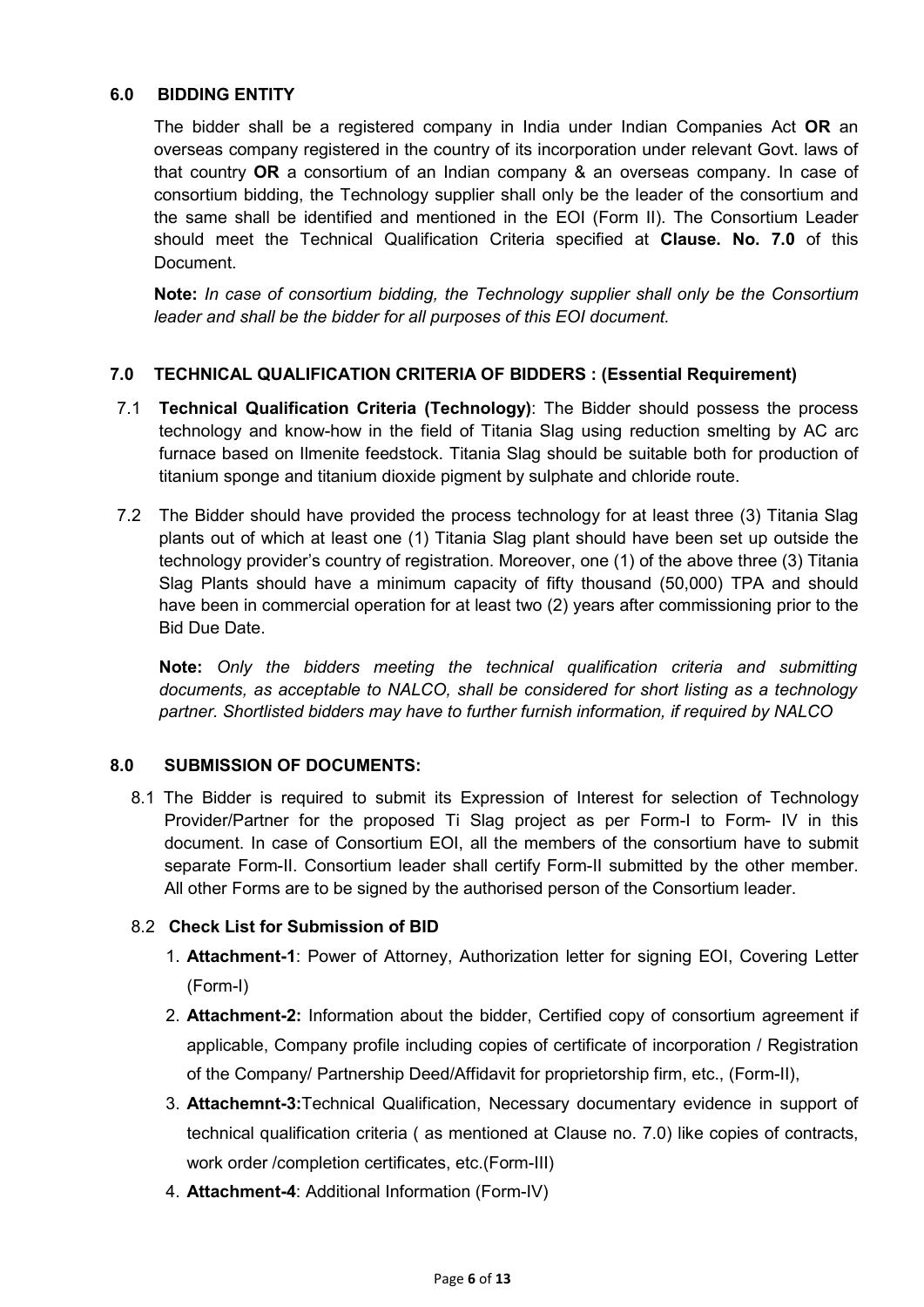#### 6.0 BIDDING ENTITY

The bidder shall be a registered company in India under Indian Companies Act OR an overseas company registered in the country of its incorporation under relevant Govt. laws of that country OR a consortium of an Indian company & an overseas company. In case of consortium bidding, the Technology supplier shall only be the leader of the consortium and the same shall be identified and mentioned in the EOI (Form II). The Consortium Leader should meet the Technical Qualification Criteria specified at Clause. No. 7.0 of this Document.

Note: In case of consortium bidding, the Technology supplier shall only be the Consortium leader and shall be the bidder for all purposes of this EOI document.

#### 7.0 TECHNICAL QUALIFICATION CRITERIA OF BIDDERS : (Essential Requirement)

- 7.1 Technical Qualification Criteria (Technology): The Bidder should possess the process technology and know-how in the field of Titania Slag using reduction smelting by AC arc furnace based on Ilmenite feedstock. Titania Slag should be suitable both for production of titanium sponge and titanium dioxide pigment by sulphate and chloride route.
- 7.2 The Bidder should have provided the process technology for at least three (3) Titania Slag plants out of which at least one (1) Titania Slag plant should have been set up outside the technology provider's country of registration. Moreover, one (1) of the above three (3) Titania Slag Plants should have a minimum capacity of fifty thousand (50,000) TPA and should have been in commercial operation for at least two (2) years after commissioning prior to the Bid Due Date.

Note: Only the bidders meeting the technical qualification criteria and submitting documents, as acceptable to NALCO, shall be considered for short listing as a technology partner. Shortlisted bidders may have to further furnish information, if required by NALCO

#### 8.0 SUBMISSION OF DOCUMENTS:

8.1 The Bidder is required to submit its Expression of Interest for selection of Technology Provider/Partner for the proposed Ti Slag project as per Form-I to Form-IV in this document. In case of Consortium EOI, all the members of the consortium have to submit separate Form-II. Consortium leader shall certify Form-II submitted by the other member. All other Forms are to be signed by the authorised person of the Consortium leader.

## 8.2 Check List for Submission of BID

- 1. Attachment-1: Power of Attorney, Authorization letter for signing EOI, Covering Letter (Form-I)
- 2. **Attachment-2:** Information about the bidder. Certified copy of consortium agreement if applicable, Company profile including copies of certificate of incorporation / Registration of the Company/ Partnership Deed/Affidavit for proprietorship firm, etc., (Form-II),
- 3. Attachemnt-3:Technical Qualification, Necessary documentary evidence in support of technical qualification criteria ( as mentioned at Clause no. 7.0) like copies of contracts, work order /completion certificates, etc.(Form-III)
- 4. Attachment-4: Additional Information (Form-IV)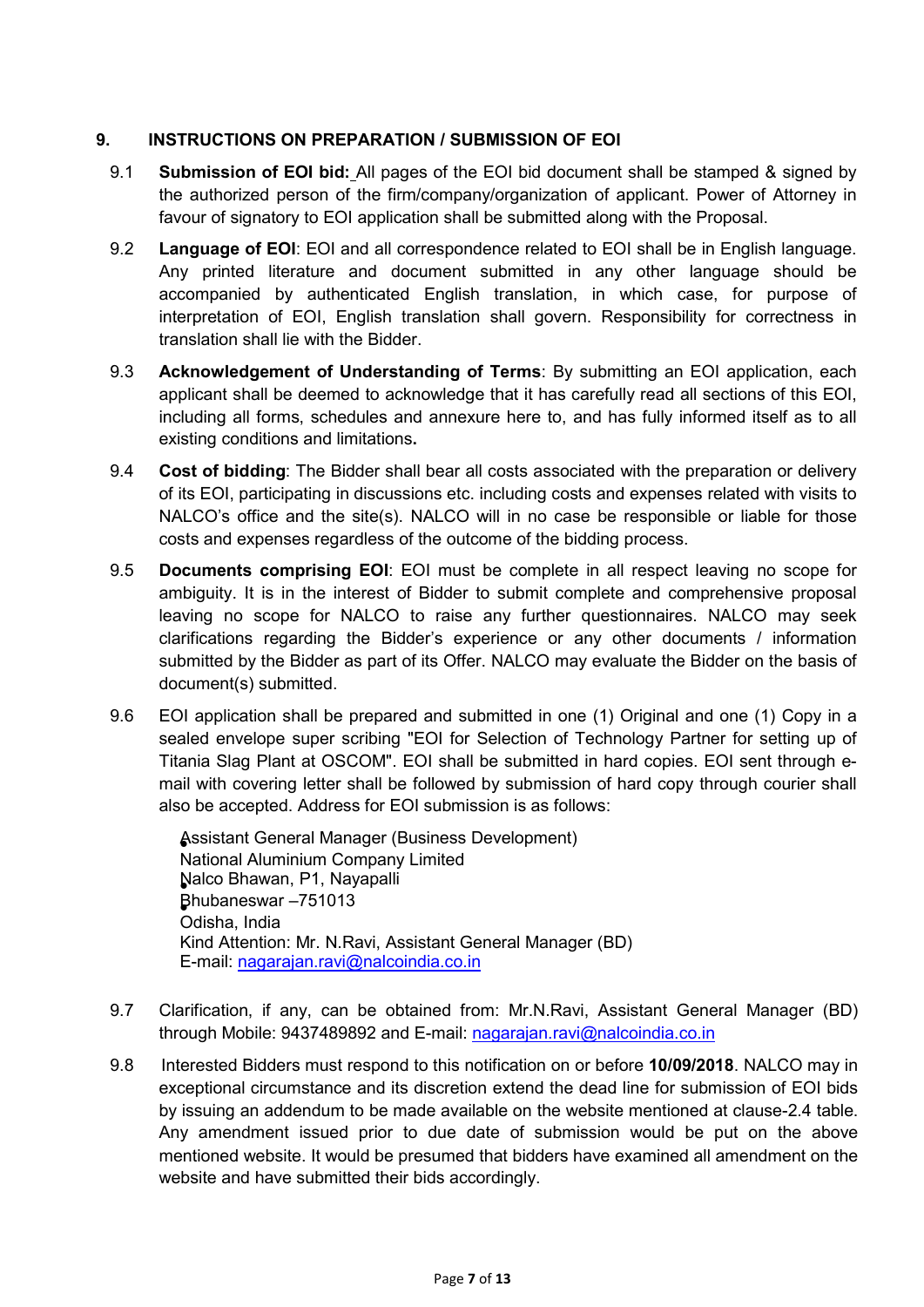#### 9. INSTRUCTIONS ON PREPARATION / SUBMISSION OF EOI

- 9.1 **Submission of EOI bid:** All pages of the EOI bid document shall be stamped & signed by the authorized person of the firm/company/organization of applicant. Power of Attorney in favour of signatory to EOI application shall be submitted along with the Proposal.
- 9.2 Language of EOI: EOI and all correspondence related to EOI shall be in English language. Any printed literature and document submitted in any other language should be accompanied by authenticated English translation, in which case, for purpose of interpretation of EOI, English translation shall govern. Responsibility for correctness in translation shall lie with the Bidder.
- 9.3 **Acknowledgement of Understanding of Terms**: By submitting an EOI application, each applicant shall be deemed to acknowledge that it has carefully read all sections of this EOI, including all forms, schedules and annexure here to, and has fully informed itself as to all existing conditions and limitations.
- 9.4 Cost of bidding: The Bidder shall bear all costs associated with the preparation or delivery of its EOI, participating in discussions etc. including costs and expenses related with visits to NALCO's office and the site(s). NALCO will in no case be responsible or liable for those costs and expenses regardless of the outcome of the bidding process.
- 9.5 **Documents comprising EOI**: EOI must be complete in all respect leaving no scope for ambiguity. It is in the interest of Bidder to submit complete and comprehensive proposal leaving no scope for NALCO to raise any further questionnaires. NALCO may seek clarifications regarding the Bidder's experience or any other documents / information submitted by the Bidder as part of its Offer. NALCO may evaluate the Bidder on the basis of document(s) submitted.
- 9.6 EOI application shall be prepared and submitted in one (1) Original and one (1) Copy in a sealed envelope super scribing "EOI for Selection of Technology Partner for setting up of Titania Slag Plant at OSCOM". EOI shall be submitted in hard copies. EOI sent through email with covering letter shall be followed by submission of hard copy through courier shall also be accepted. Address for EOI submission is as follows:

Assistant General Manager (Business Development) National Aluminium Company Limited Nalco Bhawan, P1, Nayapalli Bhubaneswar –751013 Odisha, India Kind Attention: Mr. N.Ravi, Assistant General Manager (BD) E-mail: nagarajan.ravi@nalcoindia.co.in

- 9.7 Clarification, if any, can be obtained from: Mr.N.Ravi, Assistant General Manager (BD) through Mobile: 9437489892 and E-mail: nagarajan.ravi@nalcoindia.co.in
- 9.8 Interested Bidders must respond to this notification on or before 10/09/2018. NALCO may in exceptional circumstance and its discretion extend the dead line for submission of EOI bids by issuing an addendum to be made available on the website mentioned at clause-2.4 table. Any amendment issued prior to due date of submission would be put on the above mentioned website. It would be presumed that bidders have examined all amendment on the website and have submitted their bids accordingly.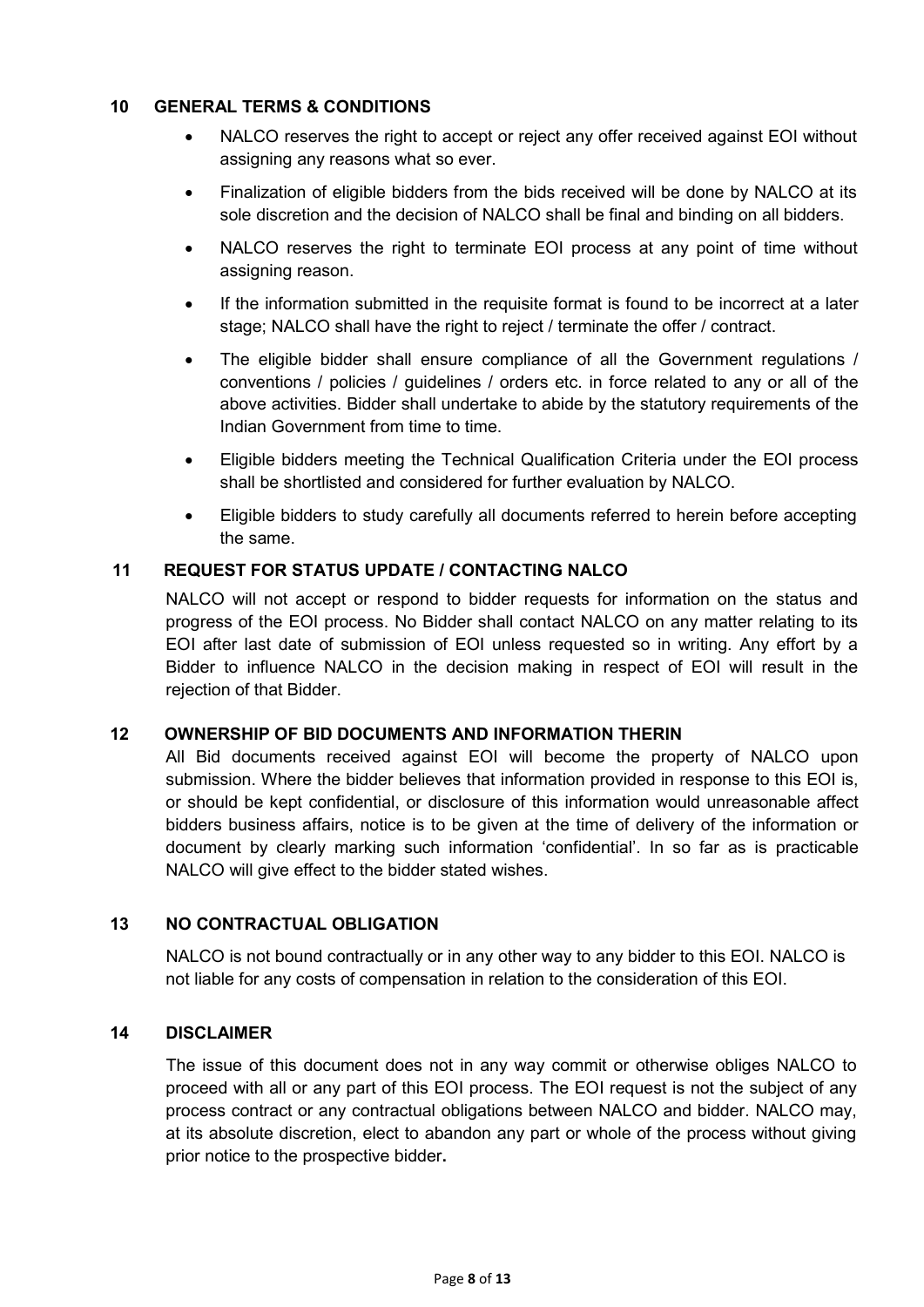#### 10 GENERAL TERMS & CONDITIONS

- NALCO reserves the right to accept or reject any offer received against EOI without assigning any reasons what so ever.
- Finalization of eligible bidders from the bids received will be done by NALCO at its sole discretion and the decision of NALCO shall be final and binding on all bidders.
- NALCO reserves the right to terminate EOI process at any point of time without assigning reason.
- If the information submitted in the requisite format is found to be incorrect at a later stage; NALCO shall have the right to reject / terminate the offer / contract.
- The eligible bidder shall ensure compliance of all the Government regulations / conventions / policies / guidelines / orders etc. in force related to any or all of the above activities. Bidder shall undertake to abide by the statutory requirements of the Indian Government from time to time.
- Eligible bidders meeting the Technical Qualification Criteria under the EOI process shall be shortlisted and considered for further evaluation by NALCO.
- Eligible bidders to study carefully all documents referred to herein before accepting the same.

## 11 REQUEST FOR STATUS UPDATE / CONTACTING NALCO

NALCO will not accept or respond to bidder requests for information on the status and progress of the EOI process. No Bidder shall contact NALCO on any matter relating to its EOI after last date of submission of EOI unless requested so in writing. Any effort by a Bidder to influence NALCO in the decision making in respect of EOI will result in the rejection of that Bidder.

#### 12 OWNERSHIP OF BID DOCUMENTS AND INFORMATION THERIN

All Bid documents received against EOI will become the property of NALCO upon submission. Where the bidder believes that information provided in response to this EOI is, or should be kept confidential, or disclosure of this information would unreasonable affect bidders business affairs, notice is to be given at the time of delivery of the information or document by clearly marking such information 'confidential'. In so far as is practicable NALCO will give effect to the bidder stated wishes.

#### 13 NO CONTRACTUAL OBLIGATION

 NALCO is not bound contractually or in any other way to any bidder to this EOI. NALCO is not liable for any costs of compensation in relation to the consideration of this EOI.

#### 14 DISCLAIMER

 The issue of this document does not in any way commit or otherwise obliges NALCO to proceed with all or any part of this EOI process. The EOI request is not the subject of any process contract or any contractual obligations between NALCO and bidder. NALCO may, at its absolute discretion, elect to abandon any part or whole of the process without giving prior notice to the prospective bidder.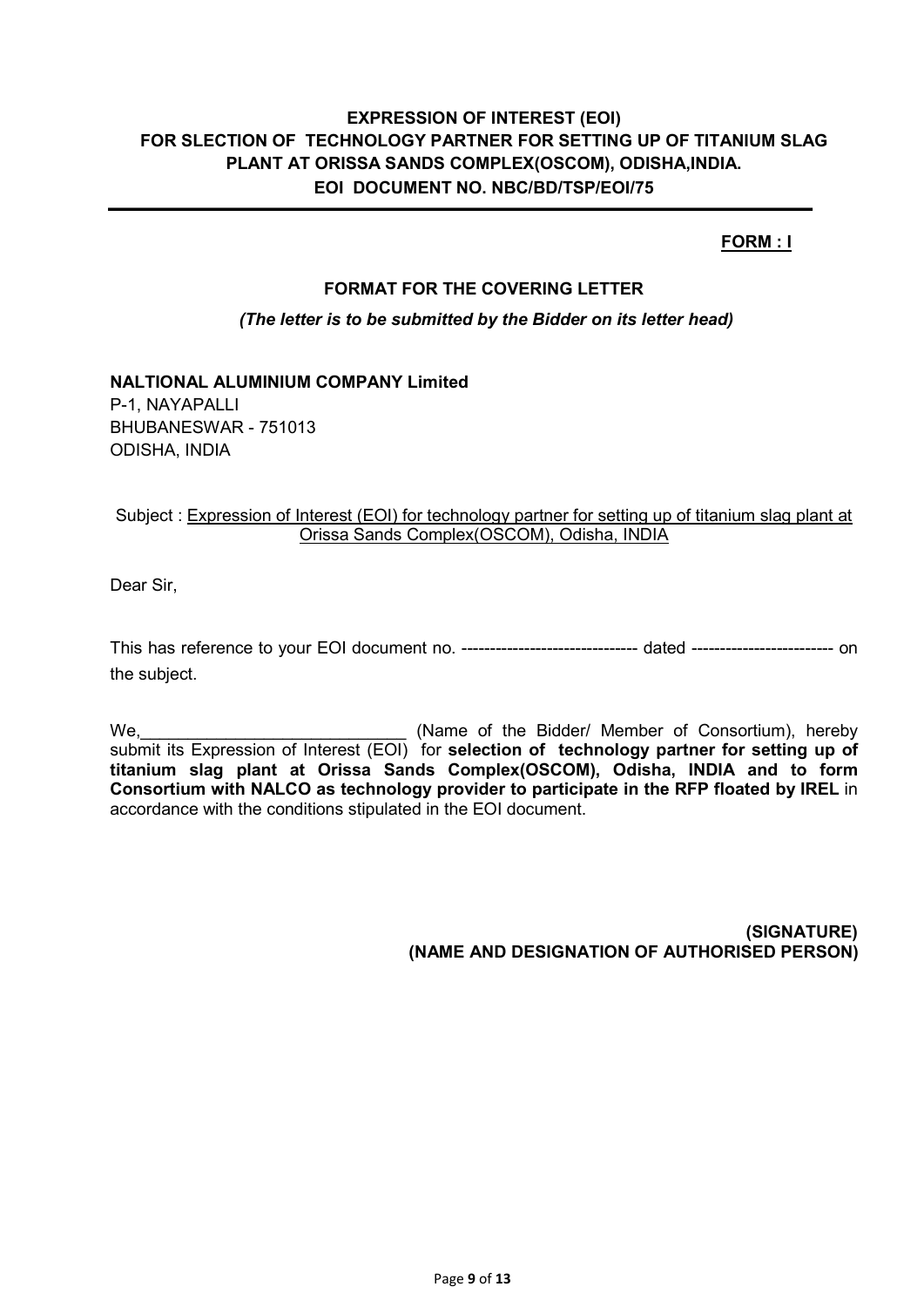## FORM : I

#### FORMAT FOR THE COVERING LETTER

#### (The letter is to be submitted by the Bidder on its letter head)

## NALTIONAL ALUMINIUM COMPANY Limited

P-1, NAYAPALLI BHUBANESWAR - 751013 ODISHA, INDIA

#### Subject : Expression of Interest (EOI) for technology partner for setting up of titanium slag plant at Orissa Sands Complex(OSCOM), Odisha, INDIA

Dear Sir,

This has reference to your EOI document no. ------------------------------- dated ------------------------- on the subject.

We, we see the Consortium), hereby (Name of the Bidder/ Member of Consortium), hereby submit its Expression of Interest (EOI) for selection of technology partner for setting up of titanium slag plant at Orissa Sands Complex(OSCOM), Odisha, INDIA and to form Consortium with NALCO as technology provider to participate in the RFP floated by IREL in accordance with the conditions stipulated in the EOI document.

> (SIGNATURE) (NAME AND DESIGNATION OF AUTHORISED PERSON)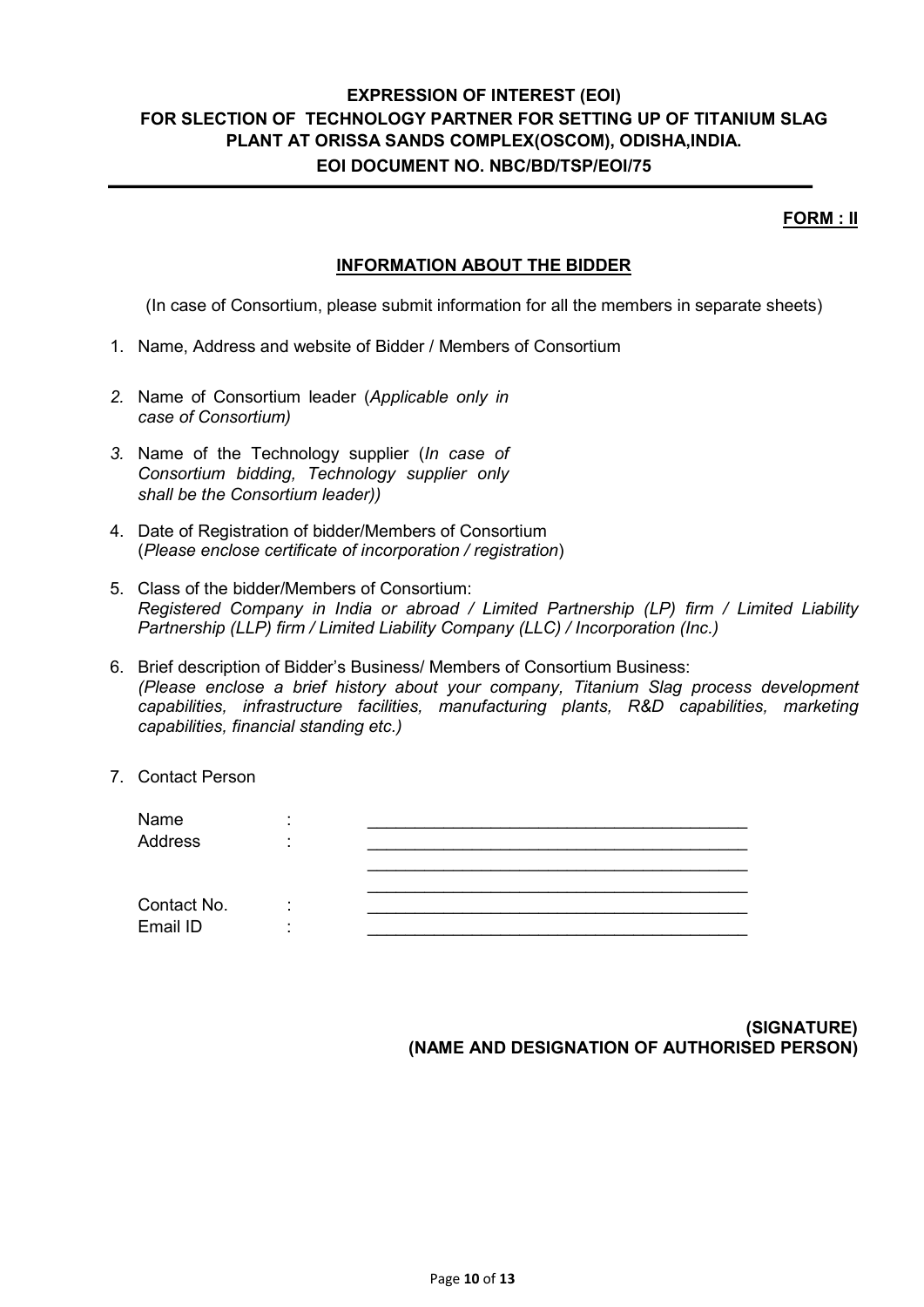FORM : II

#### INFORMATION ABOUT THE BIDDER

(In case of Consortium, please submit information for all the members in separate sheets)

- 1. Name, Address and website of Bidder / Members of Consortium
- 2. Name of Consortium leader (Applicable only in case of Consortium)
- 3. Name of the Technology supplier (In case of Consortium bidding, Technology supplier only shall be the Consortium leader))
- 4. Date of Registration of bidder/Members of Consortium (Please enclose certificate of incorporation / registration)
- 5. Class of the bidder/Members of Consortium: Registered Company in India or abroad / Limited Partnership (LP) firm / Limited Liability Partnership (LLP) firm / Limited Liability Company (LLC) / Incorporation (Inc.)
- 6. Brief description of Bidder's Business/ Members of Consortium Business: (Please enclose a brief history about your company, Titanium Slag process development capabilities, infrastructure facilities, manufacturing plants, R&D capabilities, marketing capabilities, financial standing etc.)
- 7. Contact Person

| Name        |  |
|-------------|--|
| Address     |  |
|             |  |
|             |  |
| Contact No. |  |
| Email ID    |  |

(SIGNATURE) (NAME AND DESIGNATION OF AUTHORISED PERSON)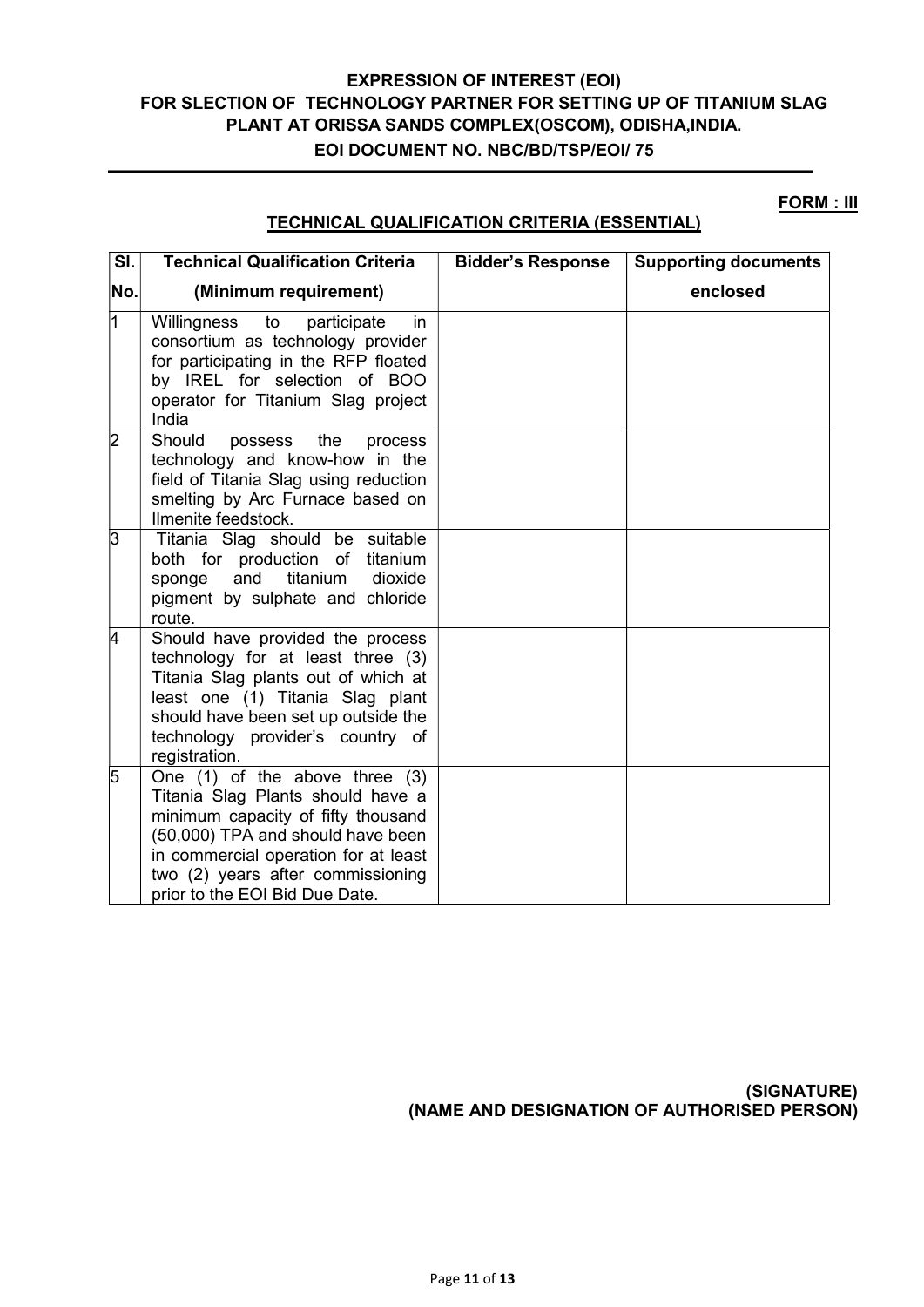#### FORM : III

## TECHNICAL QUALIFICATION CRITERIA (ESSENTIAL)

| SI.            | <b>Technical Qualification Criteria</b>                                                                                                                                                                                                                           | <b>Bidder's Response</b> | <b>Supporting documents</b> |
|----------------|-------------------------------------------------------------------------------------------------------------------------------------------------------------------------------------------------------------------------------------------------------------------|--------------------------|-----------------------------|
| No.            | (Minimum requirement)                                                                                                                                                                                                                                             |                          | enclosed                    |
| 1              | Willingness<br>to<br>participate<br>in.<br>consortium as technology provider<br>for participating in the RFP floated<br>by IREL for selection of BOO<br>operator for Titanium Slag project<br>India                                                               |                          |                             |
| $\overline{2}$ | Should<br>possess<br>the<br>process<br>technology and know-how in the<br>field of Titania Slag using reduction<br>smelting by Arc Furnace based on<br>Ilmenite feedstock.                                                                                         |                          |                             |
| 3              | Titania Slag should be suitable<br>both for production of titanium<br>titanium<br>and<br>dioxide<br>sponge<br>pigment by sulphate and chloride<br>route.                                                                                                          |                          |                             |
| 4              | Should have provided the process<br>technology for at least three (3)<br>Titania Slag plants out of which at<br>least one (1) Titania Slag plant<br>should have been set up outside the<br>technology provider's country of<br>registration.                      |                          |                             |
| 5              | One $(1)$ of the above three $(3)$<br>Titania Slag Plants should have a<br>minimum capacity of fifty thousand<br>(50,000) TPA and should have been<br>in commercial operation for at least<br>two (2) years after commissioning<br>prior to the EOI Bid Due Date. |                          |                             |

(SIGNATURE) (NAME AND DESIGNATION OF AUTHORISED PERSON)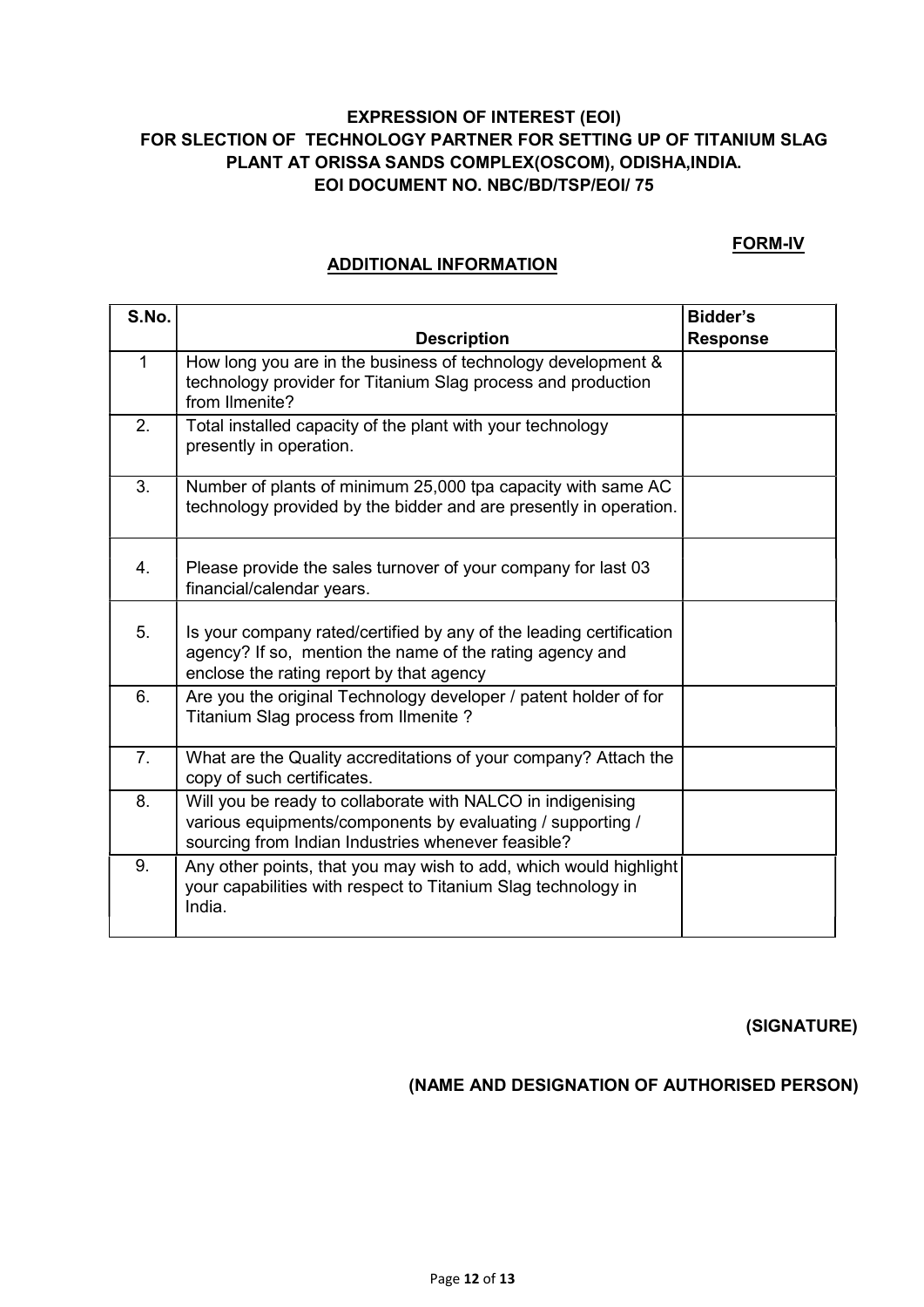#### FORM-IV

#### ADDITIONAL INFORMATION

| S.No.        |                                                                                                                                                                                 | <b>Bidder's</b> |
|--------------|---------------------------------------------------------------------------------------------------------------------------------------------------------------------------------|-----------------|
|              | <b>Description</b>                                                                                                                                                              | <b>Response</b> |
| $\mathbf{1}$ | How long you are in the business of technology development &<br>technology provider for Titanium Slag process and production<br>from Ilmenite?                                  |                 |
| 2.           | Total installed capacity of the plant with your technology<br>presently in operation.                                                                                           |                 |
| 3.           | Number of plants of minimum 25,000 tpa capacity with same AC<br>technology provided by the bidder and are presently in operation.                                               |                 |
| 4.           | Please provide the sales turnover of your company for last 03<br>financial/calendar years.                                                                                      |                 |
| 5.           | Is your company rated/certified by any of the leading certification<br>agency? If so, mention the name of the rating agency and<br>enclose the rating report by that agency     |                 |
| 6.           | Are you the original Technology developer / patent holder of for<br>Titanium Slag process from Ilmenite?                                                                        |                 |
| 7.           | What are the Quality accreditations of your company? Attach the<br>copy of such certificates.                                                                                   |                 |
| 8.           | Will you be ready to collaborate with NALCO in indigenising<br>various equipments/components by evaluating / supporting /<br>sourcing from Indian Industries whenever feasible? |                 |
| 9.           | Any other points, that you may wish to add, which would highlight<br>your capabilities with respect to Titanium Slag technology in<br>India.                                    |                 |

(SIGNATURE)

## (NAME AND DESIGNATION OF AUTHORISED PERSON)